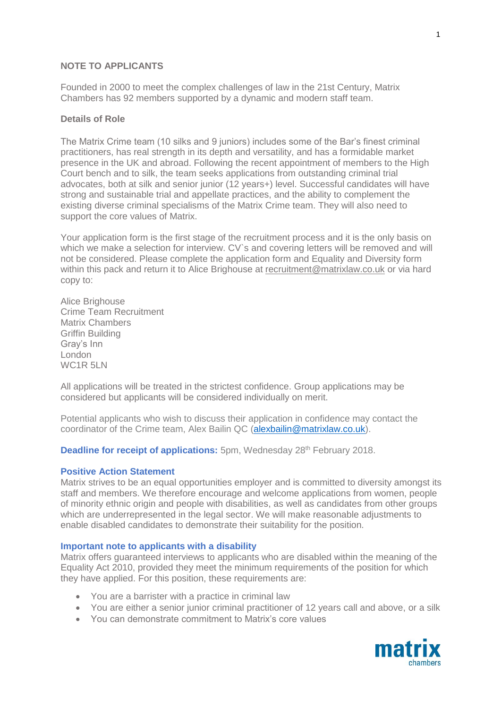#### **NOTE TO APPLICANTS**

Founded in 2000 to meet the complex challenges of law in the 21st Century, Matrix Chambers has 92 members supported by a dynamic and modern staff team.

### **Details of Role**

The Matrix Crime team (10 silks and 9 juniors) includes some of the Bar's finest criminal practitioners, has real strength in its depth and versatility, and has a formidable market presence in the UK and abroad. Following the recent appointment of members to the High Court bench and to silk, the team seeks applications from outstanding criminal trial advocates, both at silk and senior junior (12 years+) level. Successful candidates will have strong and sustainable trial and appellate practices, and the ability to complement the existing diverse criminal specialisms of the Matrix Crime team. They will also need to support the core values of Matrix.

Your application form is the first stage of the recruitment process and it is the only basis on which we make a selection for interview. CV's and covering letters will be removed and will not be considered. Please complete the application form and Equality and Diversity form within this pack and return it to Alice Brighouse at [recruitment@matrixlaw.co.uk](mailto:recruitment@matrixlaw.co.uk) or via hard copy to:

Alice Brighouse Crime Team Recruitment Matrix Chambers Griffin Building Gray's Inn London WC1R 5LN

All applications will be treated in the strictest confidence. Group applications may be considered but applicants will be considered individually on merit.

Potential applicants who wish to discuss their application in confidence may contact the coordinator of the Crime team, Alex Bailin QC [\(alexbailin@matrixlaw.co.uk\)](mailto:alexbailin@matrixlaw.co.uk).

**Deadline for receipt of applications:** 5pm, Wednesday 28<sup>th</sup> February 2018.

#### **Positive Action Statement**

Matrix strives to be an equal opportunities employer and is committed to diversity amongst its staff and members. We therefore encourage and welcome applications from women, people of minority ethnic origin and people with disabilities, as well as candidates from other groups which are underrepresented in the legal sector. We will make reasonable adjustments to enable disabled candidates to demonstrate their suitability for the position.

#### **Important note to applicants with a disability**

Matrix offers guaranteed interviews to applicants who are disabled within the meaning of the Equality Act 2010, provided they meet the minimum requirements of the position for which they have applied. For this position, these requirements are:

- You are a barrister with a practice in criminal law
- You are either a senior junior criminal practitioner of 12 years call and above, or a silk
- You can demonstrate commitment to Matrix's core values

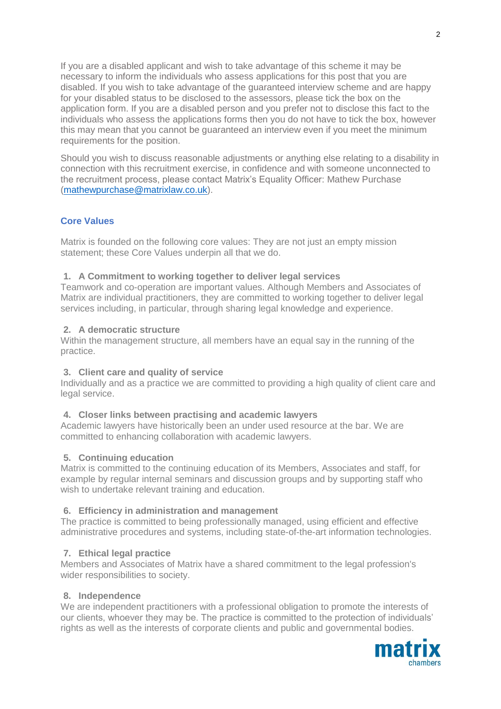If you are a disabled applicant and wish to take advantage of this scheme it may be necessary to inform the individuals who assess applications for this post that you are disabled. If you wish to take advantage of the guaranteed interview scheme and are happy for your disabled status to be disclosed to the assessors, please tick the box on the application form. If you are a disabled person and you prefer not to disclose this fact to the individuals who assess the applications forms then you do not have to tick the box, however this may mean that you cannot be guaranteed an interview even if you meet the minimum requirements for the position.

Should you wish to discuss reasonable adjustments or anything else relating to a disability in connection with this recruitment exercise, in confidence and with someone unconnected to the recruitment process, please contact Matrix's Equality Officer: Mathew Purchase [\(mathewpurchase@matrixlaw.co.uk\)](mailto:mathewpurchase@matrixlaw.co.uk).

### **Core Values**

Matrix is founded on the following core values: They are not just an empty mission statement; these Core Values underpin all that we do.

#### **1. A Commitment to working together to deliver legal services**

Teamwork and co-operation are important values. Although Members and Associates of Matrix are individual practitioners, they are committed to working together to deliver legal services including, in particular, through sharing legal knowledge and experience.

### **2. A democratic structure**

Within the management structure, all members have an equal say in the running of the practice.

#### **3. Client care and quality of service**

Individually and as a practice we are committed to providing a high quality of client care and legal service.

#### **4. Closer links between practising and academic lawyers**

Academic lawyers have historically been an under used resource at the bar. We are committed to enhancing collaboration with academic lawyers.

#### **5. Continuing education**

Matrix is committed to the continuing education of its Members, Associates and staff, for example by regular internal seminars and discussion groups and by supporting staff who wish to undertake relevant training and education.

#### **6. Efficiency in administration and management**

The practice is committed to being professionally managed, using efficient and effective administrative procedures and systems, including state-of-the-art information technologies.

#### **7. Ethical legal practice**

Members and Associates of Matrix have a shared commitment to the legal profession's wider responsibilities to society.

#### **8. Independence**

We are independent practitioners with a professional obligation to promote the interests of our clients, whoever they may be. The practice is committed to the protection of individuals' rights as well as the interests of corporate clients and public and governmental bodies.